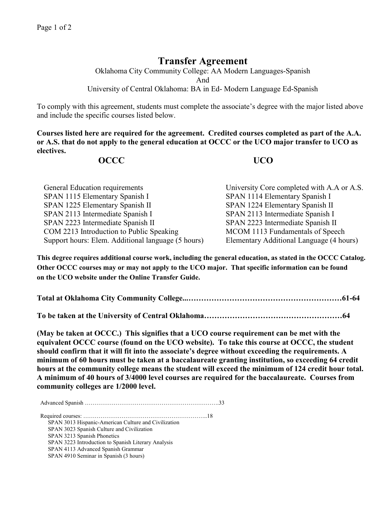## **Transfer Agreement**

Oklahoma City Community College: AA Modern Languages-Spanish And University of Central Oklahoma: BA in Ed- Modern Language Ed-Spanish

To comply with this agreement, students must complete the associate's degree with the major listed above and include the specific courses listed below.

**Courses listed here are required for the agreement. Credited courses completed as part of the A.A. or A.S. that do not apply to the general education at OCCC or the UCO major transfer to UCO as electives.**

## **OCCC UCO**

| General Education requirements                     | University Core completed with A.A or A.S. |
|----------------------------------------------------|--------------------------------------------|
| SPAN 1115 Elementary Spanish I                     | SPAN 1114 Elementary Spanish I             |
| SPAN 1225 Elementary Spanish II                    | SPAN 1224 Elementary Spanish II            |
| SPAN 2113 Intermediate Spanish I                   | SPAN 2113 Intermediate Spanish I           |
| SPAN 2223 Intermediate Spanish II                  | SPAN 2223 Intermediate Spanish II          |
| COM 2213 Introduction to Public Speaking           | MCOM 1113 Fundamentals of Speech           |
| Support hours: Elem. Additional language (5 hours) | Elementary Additional Language (4 hours)   |

**This degree requires additional course work, including the general education, as stated in the OCCC Catalog. Other OCCC courses may or may not apply to the UCO major. That specific information can be found on the UCO website under the Online Transfer Guide.**

**Total at Oklahoma City Community College...……………………………………………………61-64**

**To be taken at the University of Central Oklahoma………………………………………………64**

**(May be taken at OCCC.) This signifies that a UCO course requirement can be met with the equivalent OCCC course (found on the UCO website). To take this course at OCCC, the student should confirm that it will fit into the associate's degree without exceeding the requirements. A minimum of 60 hours must be taken at a baccalaureate granting institution, so exceeding 64 credit hours at the community college means the student will exceed the minimum of 124 credit hour total. A minimum of 40 hours of 3/4000 level courses are required for the baccalaureate. Courses from community colleges are 1/2000 level.**

Advanced Spanish …………………………………………………………….33

Required courses: ………………………………………………………..18 SPAN 3013 Hispanic-American Culture and Civilization SPAN 3023 Spanish Culture and Civilization SPAN 3213 Spanish Phonetics SPAN 3223 Introduction to Spanish Literary Analysis SPAN 4113 Advanced Spanish Grammar SPAN 4910 Seminar in Spanish (3 hours)